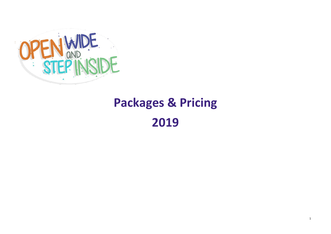

# **Packages & Pricing**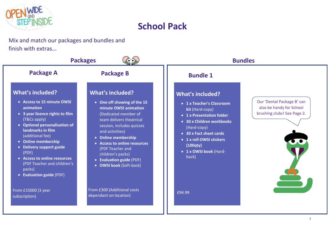



Mix and match our packages and bundles and finish with extras...

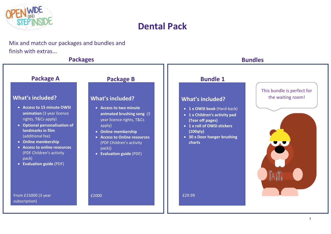

## **Dental Pack**

Mix and match our packages and bundles and finish with extras...

### **Packages Bundles**



### **Package A Package B Bundle 1** What's included? The waiting room! • **Access to 15 minute OWSI animation** (3 year licence rights, T&Cs apply) • **Optional personalisation of landmarks in film** (additional fee) • **Online membership** • **Access to online resources** (PDF Children's activity pack) • **Evaluation guide** (PDF) From £15000 (3 year subscription) • **Access to two minute animated brushing song** (3 year licence rights, T&Cs apply) • **Online membership** • **Access to Online resources** (PDF Children's activity pack)) • **Evaluation guide** (PDF) £2000 **What's included?** • **1 x OWSI book** (Hard-back) • **1 x Children's activity pad (Tear off pages)** • **1 x roll of OWSI stickers (100qty)** • **30 x Door hanger brushing charts** £29.99